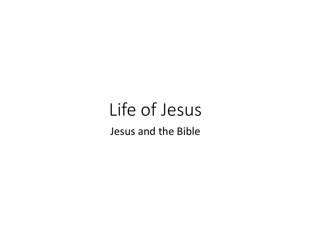## Life of Jesus Jesus and the Bible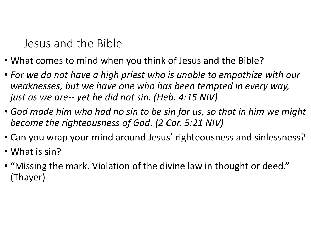Jesus and the Bible

- What comes to mind when you think of Jesus and the Bible?
- For we do not have a high priest who is unable to empathize with our weaknesses, but we have one who has been tempted in every way, Jesus and the Bible<br>What comes to mind when you think of Jesus and the Bibl<br>For we do not have a high priest who is unable to empathi<br>weaknesses, but we have one who has been tempted in ev<br>just as we are-- yet he did not s
- God made him who had no sin to be sin for us, so that in him we might become the righteousness of God. (2 Cor. 5:21 NIV)
- Can you wrap your mind around Jesus' righteousness and sinlessness?
- What is sin?
- "Missing the mark. Violation of the divine law in thought or deed." (Thayer)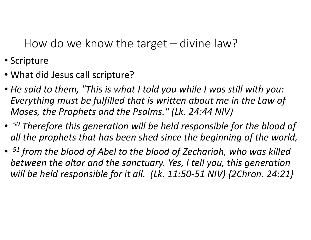How do we know the target – divine law?<br>
<br>
How do we know the target – divine law?<br>
at did lesus call scripture?

- Scripture
- What did Jesus call scripture?
- He said to them, "This is what I told you while I was still with you: Everything must be fulfilled that is written about me in the Law of Moses, the Prophets and the Psalms." (Lk. 24:44 NIV)
- <sup>50</sup> Therefore this generation will be held responsible for the blood of all the prophets that has been shed since the beginning of the world,
- <sup>51</sup> from the blood of Abel to the blood of Zechariah, who was killed between the altar and the sanctuary. Yes, I tell you, this generation will be held responsible for it all. (Lk. 11:50-51 NIV) {2Chron. 24:21}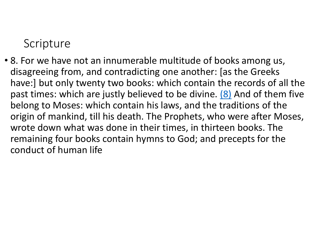## **Scripture**

• 8. For we have not an innumerable multitude of books among us, disagreeing from, and contradicting one another: [as the Greeks have:] but only twenty two books: which contain the records of all the past times: which are justly believed to be divine. (8) And of them five belong to Moses: which contain his laws, and the traditions of the origin of mankind, till his death. The Prophets, who were after Moses, wrote down what was done in their times, in thirteen books. The remaining four books contain hymns to God; and precepts for the conduct of human life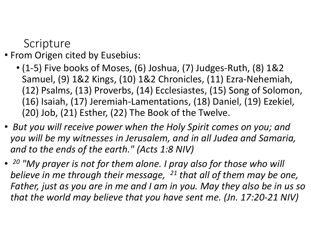**Scripture** 

- From Origen cited by Eusebius:
	- (1-5) Five books of Moses, (6) Joshua, (7) Judges-Ruth, (8) 1&2 Samuel, (9) 1&2 Kings, (10) 1&2 Chronicles, (11) Ezra-Nehemiah, (12) Psalms, (13) Proverbs, (14) Ecclesiastes, (15) Song of Solomon, (16) Isaiah, (17) Jeremiah-Lamentations, (18) Daniel, (19) Ezekiel, (20) Job, (21) Esther, (22) The Book of the Twelve.
- But you will receive power when the Holy Spirit comes on you; and you will be my witnesses in Jerusalem, and in all Judea and Samaria, and to the ends of the earth." (Acts 1:8 NIV)
- 20 "My prayer is not for them alone. I pray also for those who will believe in me through their message,  $^{21}$  that all of them may be one, Father, just as you are in me and I am in you. May they also be in us so that the world may believe that you have sent me. (Jn. 17:20-21 NIV)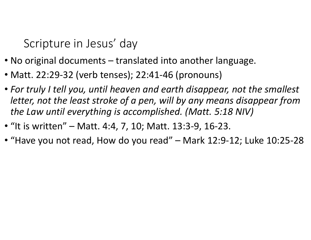Scripture in Jesus' day

- Scripture in Jesus' day<br>• No original documents translated into another language.<br>• Matt. 22:29-32 (verb tenses); 22:41-46 (pronouns)<br>• For truly I tell you, until heaven and earth disappear, not the small
- Matt. 22:29-32 (verb tenses); 22:41-46 (pronouns)
- For truly I tell you, until heaven and earth disappear, not the smallest letter, not the least stroke of a pen, will by any means disappear from the Law until everything is accomplished. (Matt. 5:18 NIV) Scripture in Jesus' day<br>• No original documents – translated into another language.<br>• Matt. 22:29-32 (verb tenses); 22:41-46 (pronouns)<br>• For truly I tell you, until heaven and earth disappear, not the<br>letter, not the leas • No original documents – translated into another language.<br>• Matt. 22:29-32 (verb tenses); 22:41-46 (pronouns)<br>• For truly I tell you, until heaven and earth disappear, not the smallest<br>letter, not the least stroke of a p
- 
-